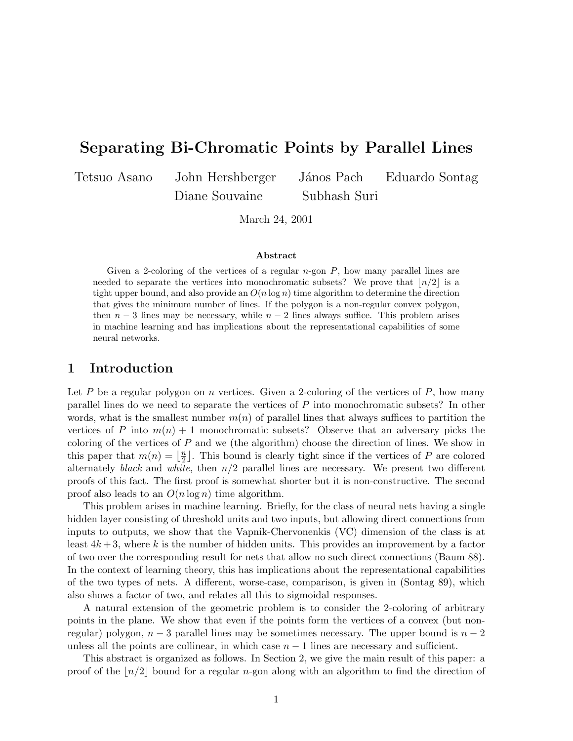# **Separating Bi-Chromatic Points by Parallel Lines**

Diane Souvaine Subhash Suri

Tetsuo Asano John Hershberger János Pach Eduardo Sontag

March 24, 2001

#### **Abstract**

Given a 2-coloring of the vertices of a regular  $n$ -gon  $P$ , how many parallel lines are needed to separate the vertices into monochromatic subsets? We prove that  $\lfloor n/2 \rfloor$  is a tight upper bound, and also provide an  $O(n \log n)$  time algorithm to determine the direction that gives the minimum number of lines. If the polygon is a non-regular convex polygon, then  $n-3$  lines may be necessary, while  $n-2$  lines always suffice. This problem arises in machine learning and has implications about the representational capabilities of some neural networks.

### **1 Introduction**

Let P be a regular polygon on n vertices. Given a 2-coloring of the vertices of P, how many parallel lines do we need to separate the vertices of P into monochromatic subsets? In other words, what is the smallest number  $m(n)$  of parallel lines that always suffices to partition the vertices of P into  $m(n) + 1$  monochromatic subsets? Observe that an adversary picks the coloring of the vertices of  $P$  and we (the algorithm) choose the direction of lines. We show in this paper that  $m(n) = \lfloor \frac{n}{2} \rfloor$ . This bound is clearly tight since if the vertices of P are colored alternately black and white, then  $n/2$  parallel lines are necessary. We present two different proofs of this fact. The first proof is somewhat shorter but it is non-constructive. The second proof also leads to an  $O(n \log n)$  time algorithm.

This problem arises in machine learning. Briefly, for the class of neural nets having a single hidden layer consisting of threshold units and two inputs, but allowing direct connections from inputs to outputs, we show that the Vapnik-Chervonenkis (VC) dimension of the class is at least  $4k+3$ , where k is the number of hidden units. This provides an improvement by a factor of two over the corresponding result for nets that allow no such direct connections (Baum 88). In the context of learning theory, this has implications about the representational capabilities of the two types of nets. A different, worse-case, comparison, is given in (Sontag 89), which also shows a factor of two, and relates all this to sigmoidal responses.

A natural extension of the geometric problem is to consider the 2-coloring of arbitrary points in the plane. We show that even if the points form the vertices of a convex (but nonregular) polygon,  $n-3$  parallel lines may be sometimes necessary. The upper bound is  $n-2$ unless all the points are collinear, in which case  $n - 1$  lines are necessary and sufficient.

This abstract is organized as follows. In Section 2, we give the main result of this paper: a proof of the  $\lfloor n/2 \rfloor$  bound for a regular n-gon along with an algorithm to find the direction of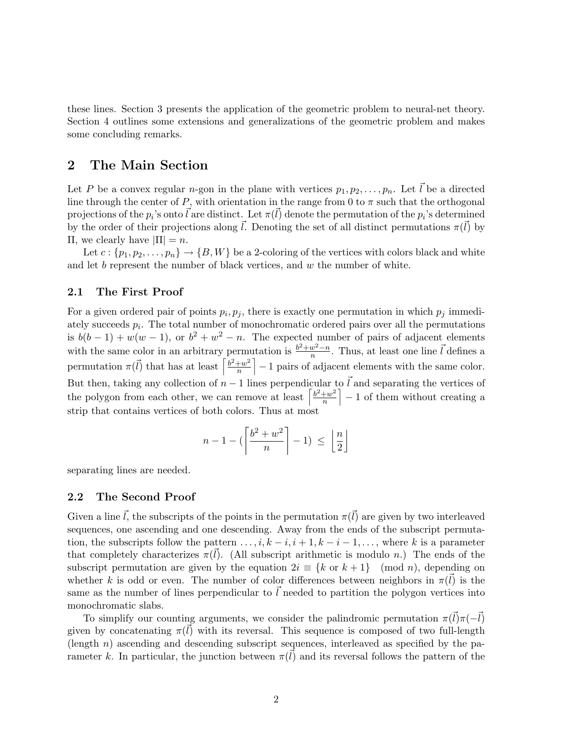these lines. Section 3 presents the application of the geometric problem to neural-net theory. Section 4 outlines some extensions and generalizations of the geometric problem and makes some concluding remarks.

### **2 The Main Section**

Let P be a convex regular n-gon in the plane with vertices  $p_1, p_2, \ldots, p_n$ . Let  $\vec{l}$  be a directed line through the center of P, with orientation in the range from 0 to  $\pi$  such that the orthogonal projections of the  $p_i$ 's onto  $\vec{l}$  are distinct. Let  $\pi(\vec{l})$  denote the permutation of the  $p_i$ 's determined by the order of their projections along  $\vec{l}$ . Denoting the set of all distinct permutations  $\pi(\vec{l})$  by Π, we clearly have  $|\Pi| = n$ .

Let  $c: \{p_1, p_2, \ldots, p_n\} \to \{B, W\}$  be a 2-coloring of the vertices with colors black and white and let  $b$  represent the number of black vertices, and  $w$  the number of white.

### **2.1 The First Proof**

For a given ordered pair of points  $p_i, p_j$ , there is exactly one permutation in which  $p_j$  immediately succeeds  $p_i$ . The total number of monochromatic ordered pairs over all the permutations is  $b(b-1) + w(w-1)$ , or  $b^2 + w^2 - n$ . The expected number of pairs of adjacent elements with the same color in an arbitrary permutation is  $\frac{b^2+w^2-n}{n}$ . Thus, at least one line  $\vec{l}$  defines a permutation  $\pi(\vec{l})$  that has at least  $\left[\frac{b^2+w^2}{n}\right]$ n  $\vert -1$  pairs of adjacent elements with the same color. But then, taking any collection of  $n-1$  lines perpendicular to  $\vec{l}$  and separating the vertices of the polygon from each other, we can remove at least  $\left[\frac{b^2+w^2}{n}\right]$ n  $\vert -1$  of them without creating a strip that contains vertices of both colors. Thus at most

$$
n-1 - (\left\lceil \frac{b^2 + w^2}{n} \right\rceil - 1) \ \leq \ \left\lfloor \frac{n}{2} \right\rfloor
$$

separating lines are needed.

#### **2.2 The Second Proof**

Given a line  $\vec{l}$ , the subscripts of the points in the permutation  $\pi(\vec{l})$  are given by two interleaved sequences, one ascending and one descending. Away from the ends of the subscript permutation, the subscripts follow the pattern  $\dots, i, k-i, i+1, k-i-1, \dots$ , where k is a parameter that completely characterizes  $\pi(l)$ . (All subscript arithmetic is modulo n.) The ends of the subscript permutation are given by the equation  $2i \equiv \{k \text{ or } k+1\}$  (mod n), depending on whether k is odd or even. The number of color differences between neighbors in  $\pi(\vec{l})$  is the same as the number of lines perpendicular to  $\ell$  needed to partition the polygon vertices into monochromatic slabs.

To simplify our counting arguments, we consider the palindromic permutation  $\pi(\vec{l})\pi(-\vec{l})$ given by concatenating  $\pi(\vec{l})$  with its reversal. This sequence is composed of two full-length  $\alpha$  (length *n*) ascending and descending subscript sequences, interleaved as specified by the parameter k. In particular, the junction between  $\pi(\vec{l})$  and its reversal follows the pattern of the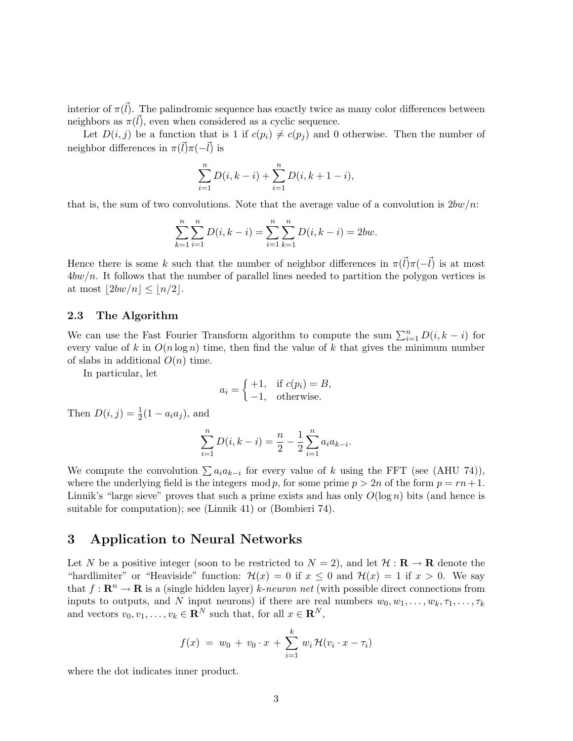interior of  $\pi(\vec{l})$ . The palindromic sequence has exactly twice as many color differences between neighbors as  $\pi(l)$ , even when considered as a cyclic sequence.

Let  $D(i, j)$  be a function that is 1 if  $c(p_i) \neq c(p_j)$  and 0 otherwise. Then the number of neighbor differences in  $\pi(\vec{l})\pi(-\vec{l})$  is

$$
\sum_{i=1}^{n} D(i, k - i) + \sum_{i=1}^{n} D(i, k + 1 - i),
$$

that is, the sum of two convolutions. Note that the average value of a convolution is  $2bw/n$ :

$$
\sum_{k=1}^{n} \sum_{i=1}^{n} D(i, k - i) = \sum_{i=1}^{n} \sum_{k=1}^{n} D(i, k - i) = 2bw.
$$

Hence there is some k such that the number of neighbor differences in  $\pi(\vec{l})\pi(-\vec{l})$  is at most  $4bw/n$ . It follows that the number of parallel lines needed to partition the polygon vertices is at most  $|2bw/n| \leq |n/2|$ .

#### **2.3 The Algorithm**

We can use the Fast Fourier Transform algorithm to compute the sum  $\sum_{i=1}^{n} D(i, k - i)$  for every value of k in  $O(n \log n)$  time, then find the value of k that gives the minimum number of slabs in additional  $O(n)$  time.

In particular, let

$$
a_i = \begin{cases} +1, & \text{if } c(p_i) = B, \\ -1, & \text{otherwise.} \end{cases}
$$

Then  $D(i, j) = \frac{1}{2}(1 - a_i a_j)$ , and

$$
\sum_{i=1}^{n} D(i, k - i) = \frac{n}{2} - \frac{1}{2} \sum_{i=1}^{n} a_i a_{k-i}.
$$

We compute the convolution  $\sum a_i a_{k-i}$  for every value of k using the FFT (see (AHU 74)), where the underlying field is the integers mod p, for some prime  $p > 2n$  of the form  $p = rn+1$ . Linnik's "large sieve" proves that such a prime exists and has only  $O(\log n)$  bits (and hence is suitable for computation); see (Linnik 41) or (Bombieri 74).

# **3 Application to Neural Networks**

Let N be a positive integer (soon to be restricted to  $N = 2$ ), and let  $\mathcal{H}: \mathbf{R} \to \mathbf{R}$  denote the "hardlimiter" or "Heaviside" function:  $\mathcal{H}(x) = 0$  if  $x \leq 0$  and  $\mathcal{H}(x) = 1$  if  $x > 0$ . We say that  $f: \mathbb{R}^n \to \mathbb{R}$  is a (single hidden layer) k-neuron net (with possible direct connections from inputs to outputs, and N input neurons) if there are real numbers  $w_0, w_1, \ldots, w_k, \tau_1, \ldots, \tau_k$ and vectors  $v_0, v_1, \ldots, v_k \in \mathbb{R}^N$  such that, for all  $x \in \mathbb{R}^N$ ,

$$
f(x) = w_0 + v_0 \cdot x + \sum_{i=1}^{k} w_i \mathcal{H}(v_i \cdot x - \tau_i)
$$

where the dot indicates inner product.